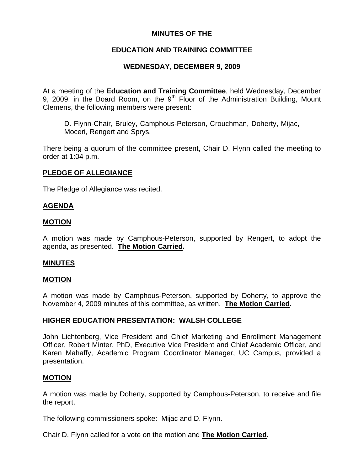## **MINUTES OF THE**

# **EDUCATION AND TRAINING COMMITTEE**

# **WEDNESDAY, DECEMBER 9, 2009**

At a meeting of the **Education and Training Committee**, held Wednesday, December 9, 2009, in the Board Room, on the  $9<sup>th</sup>$  Floor of the Administration Building, Mount Clemens, the following members were present:

D. Flynn-Chair, Bruley, Camphous-Peterson, Crouchman, Doherty, Mijac, Moceri, Rengert and Sprys.

There being a quorum of the committee present, Chair D. Flynn called the meeting to order at 1:04 p.m.

## **PLEDGE OF ALLEGIANCE**

The Pledge of Allegiance was recited.

### **AGENDA**

### **MOTION**

A motion was made by Camphous-Peterson, supported by Rengert, to adopt the agenda, as presented. **The Motion Carried.** 

#### **MINUTES**

#### **MOTION**

A motion was made by Camphous-Peterson, supported by Doherty, to approve the November 4, 2009 minutes of this committee, as written. **The Motion Carried.** 

## **HIGHER EDUCATION PRESENTATION: WALSH COLLEGE**

John Lichtenberg, Vice President and Chief Marketing and Enrollment Management Officer, Robert Minter, PhD, Executive Vice President and Chief Academic Officer, and Karen Mahaffy, Academic Program Coordinator Manager, UC Campus, provided a presentation.

## **MOTION**

A motion was made by Doherty, supported by Camphous-Peterson, to receive and file the report.

The following commissioners spoke: Mijac and D. Flynn.

Chair D. Flynn called for a vote on the motion and **The Motion Carried.**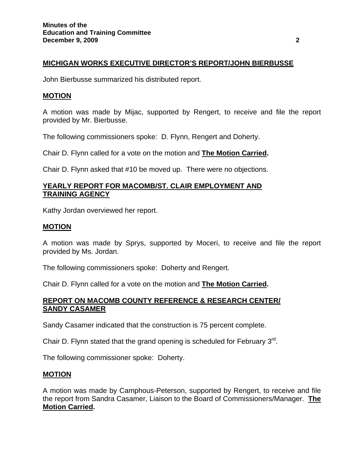### **MICHIGAN WORKS EXECUTIVE DIRECTOR'S REPORT/JOHN BIERBUSSE**

John Bierbusse summarized his distributed report.

#### **MOTION**

A motion was made by Mijac, supported by Rengert, to receive and file the report provided by Mr. Bierbusse.

The following commissioners spoke: D. Flynn, Rengert and Doherty.

Chair D. Flynn called for a vote on the motion and **The Motion Carried.** 

Chair D. Flynn asked that #10 be moved up. There were no objections.

## **YEARLY REPORT FOR MACOMB/ST. CLAIR EMPLOYMENT AND TRAINING AGENCY**

Kathy Jordan overviewed her report.

#### **MOTION**

A motion was made by Sprys, supported by Moceri, to receive and file the report provided by Ms. Jordan.

The following commissioners spoke: Doherty and Rengert.

Chair D. Flynn called for a vote on the motion and **The Motion Carried.** 

### **REPORT ON MACOMB COUNTY REFERENCE & RESEARCH CENTER/ SANDY CASAMER**

Sandy Casamer indicated that the construction is 75 percent complete.

Chair D. Flynn stated that the grand opening is scheduled for February 3<sup>rd</sup>.

The following commissioner spoke: Doherty.

#### **MOTION**

A motion was made by Camphous-Peterson, supported by Rengert, to receive and file the report from Sandra Casamer, Liaison to the Board of Commissioners/Manager. **The Motion Carried.**